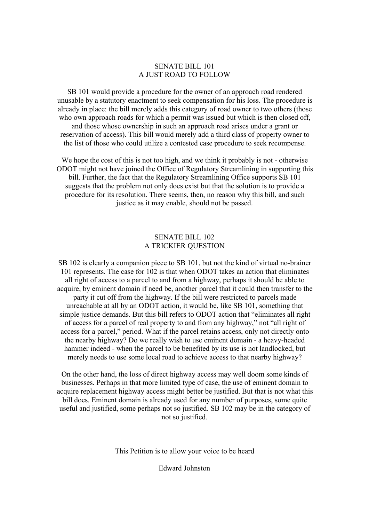### SENATE BILL 101 A JUST ROAD TO FOLLOW

SB 101 would provide a procedure for the owner of an approach road rendered unusable by a statutory enactment to seek compensation for his loss. The procedure is already in place: the bill merely adds this category of road owner to two others (those who own approach roads for which a permit was issued but which is then closed off, and those whose ownership in such an approach road arises under a grant or reservation of access). This bill would merely add a third class of property owner to the list of those who could utilize a contested case procedure to seek recompense.

We hope the cost of this is not too high, and we think it probably is not - otherwise ODOT might not have joined the Office of Regulatory Streamlining in supporting this bill. Further, the fact that the Regulatory Streamlining Office supports SB 101 suggests that the problem not only does exist but that the solution is to provide a procedure for its resolution. There seems, then, no reason why this bill, and such justice as it may enable, should not be passed.

### SENATE BILL 102 A TRICKIER QUESTION

SB 102 is clearly a companion piece to SB 101, but not the kind of virtual no-brainer 101 represents. The case for 102 is that when ODOT takes an action that eliminates all right of access to a parcel to and from a highway, perhaps it should be able to acquire, by eminent domain if need be, another parcel that it could then transfer to the party it cut off from the highway. If the bill were restricted to parcels made unreachable at all by an ODOT action, it would be, like SB 101, something that simple justice demands. But this bill refers to ODOT action that "eliminates all right of access for a parcel of real property to and from any highway," not "all right of access for a parcel," period. What if the parcel retains access, only not directly onto the nearby highway? Do we really wish to use eminent domain - a heavy-headed hammer indeed - when the parcel to be benefited by its use is not landlocked, but merely needs to use some local road to achieve access to that nearby highway?

On the other hand, the loss of direct highway access may well doom some kinds of businesses. Perhaps in that more limited type of case, the use of eminent domain to acquire replacement highway access might better be justified. But that is not what this bill does. Eminent domain is already used for any number of purposes, some quite useful and justified, some perhaps not so justified. SB 102 may be in the category of not so justified.

This Petition is to allow your voice to be heard

Edward Johnston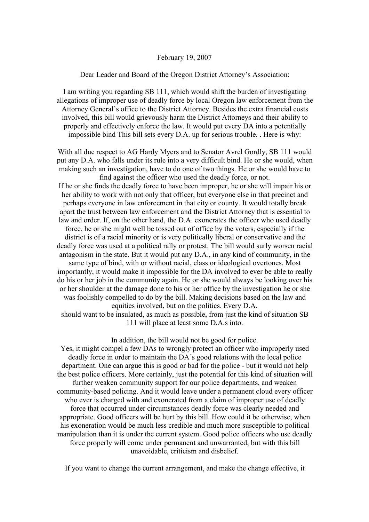#### February 19, 2007

Dear Leader and Board of the Oregon District Attorney's Association:

I am writing you regarding SB 111, which would shift the burden of investigating allegations of improper use of deadly force by local Oregon law enforcement from the Attorney General's office to the District Attorney. Besides the extra financial costs involved, this bill would grievously harm the District Attorneys and their ability to properly and effectively enforce the law. It would put every DA into a potentially impossible bind This bill sets every D.A. up for serious trouble. . Here is why:

With all due respect to AG Hardy Myers and to Senator Avrel Gordly, SB 111 would put any D.A. who falls under its rule into a very difficult bind. He or she would, when making such an investigation, have to do one of two things. He or she would have to find against the officer who used the deadly force, or not.

If he or she finds the deadly force to have been improper, he or she will impair his or her ability to work with not only that officer, but everyone else in that precinct and perhaps everyone in law enforcement in that city or county. It would totally break apart the trust between law enforcement and the District Attorney that is essential to law and order. If, on the other hand, the D.A. exonerates the officer who used deadly force, he or she might well be tossed out of office by the voters, especially if the district is of a racial minority or is very politically liberal or conservative and the deadly force was used at a political rally or protest. The bill would surly worsen racial antagonism in the state. But it would put any D.A., in any kind of community, in the same type of bind, with or without racial, class or ideological overtones. Most importantly, it would make it impossible for the DA involved to ever be able to really do his or her job in the community again. He or she would always be looking over his or her shoulder at the damage done to his or her office by the investigation he or she was foolishly compelled to do by the bill. Making decisions based on the law and equities involved, but on the politics. Every D.A. should want to be insulated, as much as possible, from just the kind of situation SB 111 will place at least some D.A.s into.

In addition, the bill would not be good for police.

Yes, it might compel a few DAs to wrongly protect an officer who improperly used deadly force in order to maintain the DA's good relations with the local police department. One can argue this is good or bad for the police - but it would not help the best police officers. More certainly, just the potential for this kind of situation will further weaken community support for our police departments, and weaken community-based policing. And it would leave under a permanent cloud every officer who ever is charged with and exonerated from a claim of improper use of deadly force that occurred under circumstances deadly force was clearly needed and appropriate. Good officers will be hurt by this bill. How could it be otherwise, when his exoneration would be much less credible and much more susceptible to political manipulation than it is under the current system. Good police officers who use deadly force properly will come under permanent and unwarranted, but with this bill unavoidable, criticism and disbelief.

If you want to change the current arrangement, and make the change effective, it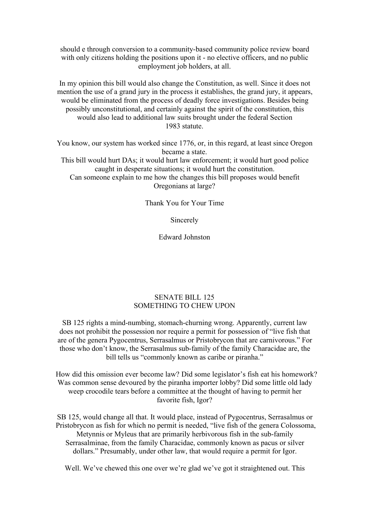should e through conversion to a community-based community police review board with only citizens holding the positions upon it - no elective officers, and no public employment job holders, at all.

In my opinion this bill would also change the Constitution, as well. Since it does not mention the use of a grand jury in the process it establishes, the grand jury, it appears, would be eliminated from the process of deadly force investigations. Besides being possibly unconstitutional, and certainly against the spirit of the constitution, this would also lead to additional law suits brought under the federal Section 1983 statute.

You know, our system has worked since 1776, or, in this regard, at least since Oregon became a state.

This bill would hurt DAs; it would hurt law enforcement; it would hurt good police caught in desperate situations; it would hurt the constitution.

Can someone explain to me how the changes this bill proposes would benefit Oregonians at large?

Thank You for Your Time

Sincerely

Edward Johnston

## SENATE BILL 125 SOMETHING TO CHEW UPON

SB 125 rights a mind-numbing, stomach-churning wrong. Apparently, current law does not prohibit the possession nor require a permit for possession of "live fish that are of the genera Pygocentrus, Serrasalmus or Pristobrycon that are carnivorous." For those who don't know, the Serrasalmus sub-family of the family Characidae are, the bill tells us "commonly known as caribe or piranha."

How did this omission ever become law? Did some legislator's fish eat his homework? Was common sense devoured by the piranha importer lobby? Did some little old lady weep crocodile tears before a committee at the thought of having to permit her favorite fish, Igor?

SB 125, would change all that. It would place, instead of Pygocentrus, Serrasalmus or Pristobrycon as fish for which no permit is needed, "live fish of the genera Colossoma, Metynnis or Myleus that are primarily herbivorous fish in the sub-family Serrasalminae, from the family Characidae, commonly known as pacus or silver dollars." Presumably, under other law, that would require a permit for Igor.

Well. We've chewed this one over we're glad we've got it straightened out. This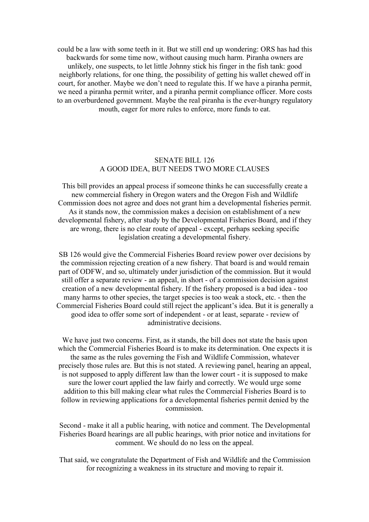could be a law with some teeth in it. But we still end up wondering: ORS has had this backwards for some time now, without causing much harm. Piranha owners are unlikely, one suspects, to let little Johnny stick his finger in the fish tank: good neighborly relations, for one thing, the possibility of getting his wallet chewed off in court, for another. Maybe we don't need to regulate this. If we have a piranha permit, we need a piranha permit writer, and a piranha permit compliance officer. More costs to an overburdened government. Maybe the real piranha is the ever-hungry regulatory mouth, eager for more rules to enforce, more funds to eat.

## SENATE BILL 126 A GOOD IDEA, BUT NEEDS TWO MORE CLAUSES

This bill provides an appeal process if someone thinks he can successfully create a new commercial fishery in Oregon waters and the Oregon Fish and Wildlife Commission does not agree and does not grant him a developmental fisheries permit. As it stands now, the commission makes a decision on establishment of a new developmental fishery, after study by the Developmental Fisheries Board, and if they are wrong, there is no clear route of appeal - except, perhaps seeking specific legislation creating a developmental fishery.

SB 126 would give the Commercial Fisheries Board review power over decisions by the commission rejecting creation of a new fishery. That board is and would remain part of ODFW, and so, ultimately under jurisdiction of the commission. But it would still offer a separate review - an appeal, in short - of a commission decision against creation of a new developmental fishery. If the fishery proposed is a bad idea - too many harms to other species, the target species is too weak a stock, etc. - then the Commercial Fisheries Board could still reject the applicant's idea. But it is generally a good idea to offer some sort of independent - or at least, separate - review of administrative decisions.

We have just two concerns. First, as it stands, the bill does not state the basis upon which the Commercial Fisheries Board is to make its determination. One expects it is the same as the rules governing the Fish and Wildlife Commission, whatever precisely those rules are. But this is not stated. A reviewing panel, hearing an appeal, is not supposed to apply different law than the lower court - it is supposed to make sure the lower court applied the law fairly and correctly. We would urge some addition to this bill making clear what rules the Commercial Fisheries Board is to follow in reviewing applications for a developmental fisheries permit denied by the commission.

Second - make it all a public hearing, with notice and comment. The Developmental Fisheries Board hearings are all public hearings, with prior notice and invitations for comment. We should do no less on the appeal.

That said, we congratulate the Department of Fish and Wildlife and the Commission for recognizing a weakness in its structure and moving to repair it.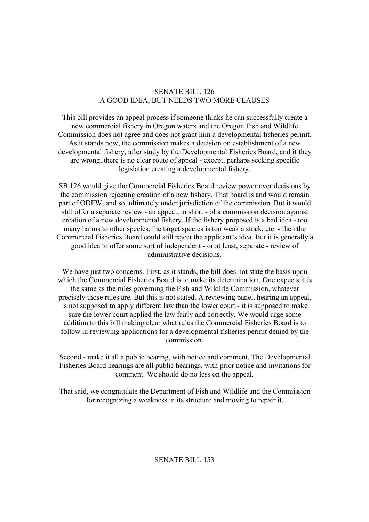## SENATE BILL 126 A GOOD IDEA, BUT NEEDS TWO MORE CLAUSES

This bill provides an appeal process if someone thinks he can successfully create a new commercial fishery in Oregon waters and the Oregon Fish and Wildlife Commission does not agree and does not grant him a developmental fisheries permit. As it stands now, the commission makes a decision on establishment of a new developmental fishery, after study by the Developmental Fisheries Board, and if they are wrong, there is no clear route of appeal - except, perhaps seeking specific legislation creating a developmental fishery.

SB 126 would give the Commercial Fisheries Board review power over decisions by the commission rejecting creation of a new fishery. That board is and would remain part of ODFW, and so, ultimately under jurisdiction of the commission. But it would still offer a separate review - an appeal, in short - of a commission decision against creation of a new developmental fishery. If the fishery proposed is a bad idea - too many harms to other species, the target species is too weak a stock, etc. - then the Commercial Fisheries Board could still reject the applicant's idea. But it is generally a good idea to offer some sort of independent - or at least, separate - review of administrative decisions.

We have just two concerns. First, as it stands, the bill does not state the basis upon which the Commercial Fisheries Board is to make its determination. One expects it is the same as the rules governing the Fish and Wildlife Commission, whatever precisely those rules are. But this is not stated. A reviewing panel, hearing an appeal, is not supposed to apply different law than the lower court - it is supposed to make sure the lower court applied the law fairly and correctly. We would urge some addition to this bill making clear what rules the Commercial Fisheries Board is to follow in reviewing applications for a developmental fisheries permit denied by the commission.

Second - make it all a public hearing, with notice and comment. The Developmental Fisheries Board hearings are all public hearings, with prior notice and invitations for comment. We should do no less on the appeal.

That said, we congratulate the Department of Fish and Wildlife and the Commission for recognizing a weakness in its structure and moving to repair it.

# SENATE BILL 153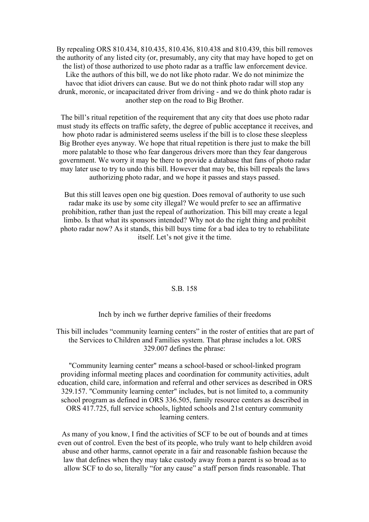By repealing ORS 810.434, 810.435, 810.436, 810.438 and 810.439, this bill removes the authority of any listed city (or, presumably, any city that may have hoped to get on the list) of those authorized to use photo radar as a traffic law enforcement device. Like the authors of this bill, we do not like photo radar. We do not minimize the havoc that idiot drivers can cause. But we do not think photo radar will stop any drunk, moronic, or incapacitated driver from driving - and we do think photo radar is another step on the road to Big Brother.

The bill's ritual repetition of the requirement that any city that does use photo radar must study its effects on traffic safety, the degree of public acceptance it receives, and how photo radar is administered seems useless if the bill is to close these sleepless Big Brother eyes anyway. We hope that ritual repetition is there just to make the bill more palatable to those who fear dangerous drivers more than they fear dangerous government. We worry it may be there to provide a database that fans of photo radar may later use to try to undo this bill. However that may be, this bill repeals the laws authorizing photo radar, and we hope it passes and stays passed.

But this still leaves open one big question. Does removal of authority to use such radar make its use by some city illegal? We would prefer to see an affirmative prohibition, rather than just the repeal of authorization. This bill may create a legal limbo. Is that what its sponsors intended? Why not do the right thing and prohibit photo radar now? As it stands, this bill buys time for a bad idea to try to rehabilitate itself. Let's not give it the time.

#### S.B. 158

Inch by inch we further deprive families of their freedoms

This bill includes "community learning centers" in the roster of entities that are part of the Services to Children and Families system. That phrase includes a lot. ORS 329.007 defines the phrase:<br>"Community learning center" means a school-based or school-linked program

providing informal meeting places and coordination for community activities, adult education, child care, information and referral and other services as described in ORS 329.157. "Community learning center" includes, but is not limited to, a community school program as defined in ORS 336.505, family resource centers as described in ORS 417.725, full service schools, lighted schools and 21st century community learning centers.

As many of you know, I find the activities of SCF to be out of bounds and at times even out of control. Even the best of its people, who truly want to help children avoid abuse and other harms, cannot operate in a fair and reasonable fashion because the law that defines when they may take custody away from a parent is so broad as to allow SCF to do so, literally "for any cause" a staff person finds reasonable. That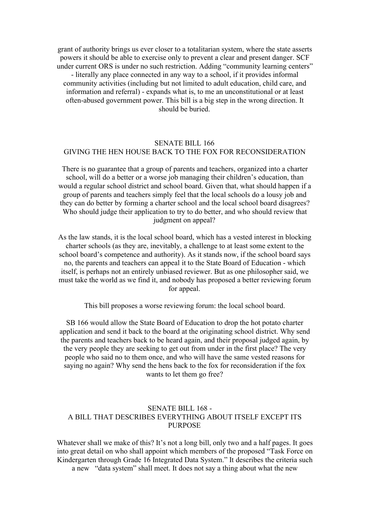grant of authority brings us ever closer to a totalitarian system, where the state asserts powers it should be able to exercise only to prevent a clear and present danger. SCF under current ORS is under no such restriction. Adding "community learning centers" - literally any place connected in any way to a school, if it provides informal community activities (including but not limited to adult education, child care, and information and referral) - expands what is, to me an unconstitutional or at least often-abused government power. This bill is a big step in the wrong direction. It should be buried.

## SENATE BILL 166 GIVING THE HEN HOUSE BACK TO THE FOX FOR RECONSIDERATION

There is no guarantee that a group of parents and teachers, organized into a charter school, will do a better or a worse job managing their children's education, than would a regular school district and school board. Given that, what should happen if a group of parents and teachers simply feel that the local schools do a lousy job and they can do better by forming a charter school and the local school board disagrees? Who should judge their application to try to do better, and who should review that judgment on appeal?

As the law stands, it is the local school board, which has a vested interest in blocking charter schools (as they are, inevitably, a challenge to at least some extent to the school board's competence and authority). As it stands now, if the school board says no, the parents and teachers can appeal it to the State Board of Education - which itself, is perhaps not an entirely unbiased reviewer. But as one philosopher said, we must take the world as we find it, and nobody has proposed a better reviewing forum for appeal.

This bill proposes a worse reviewing forum: the local school board.

SB 166 would allow the State Board of Education to drop the hot potato charter application and send it back to the board at the originating school district. Why send the parents and teachers back to be heard again, and their proposal judged again, by the very people they are seeking to get out from under in the first place? The very people who said no to them once, and who will have the same vested reasons for saying no again? Why send the hens back to the fox for reconsideration if the fox wants to let them go free?

## SENATE BILL 168 - A BILL THAT DESCRIBES EVERYTHING ABOUT ITSELF EXCEPT ITS **PURPOSE**

Whatever shall we make of this? It's not a long bill, only two and a half pages. It goes into great detail on who shall appoint which members of the proposed "Task Force on Kindergarten through Grade 16 Integrated Data System." It describes the criteria such a new "data system" shall meet. It does not say a thing about what the new